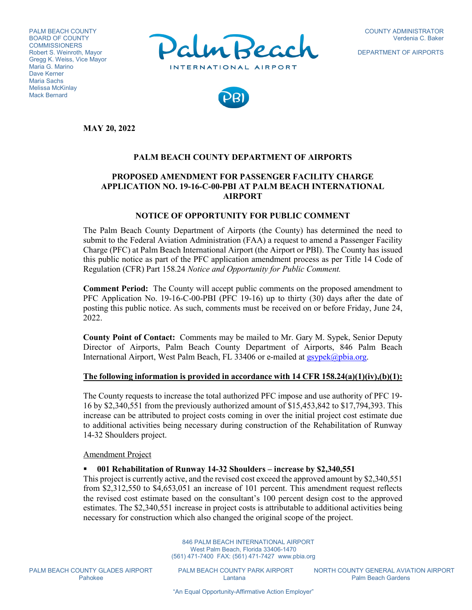PALM BEACH COUNTY BOARD OF COUNTY **COMMISSIONERS** Robert S. Weinroth, Mayor Gregg K. Weiss, Vice Mayor Maria G. Marino Dave Kerner Maria Sachs Melissa McKinlay Mack Bernard



DEPARTMENT OF AIRPORTS



**MAY 20, 2022**

## **PALM BEACH COUNTY DEPARTMENT OF AIRPORTS**

# **PROPOSED AMENDMENT FOR PASSENGER FACILITY CHARGE APPLICATION NO. 19-16-C-00-PBI AT PALM BEACH INTERNATIONAL AIRPORT**

#### **NOTICE OF OPPORTUNITY FOR PUBLIC COMMENT**

The Palm Beach County Department of Airports (the County) has determined the need to submit to the Federal Aviation Administration (FAA) a request to amend a Passenger Facility Charge (PFC) at Palm Beach International Airport (the Airport or PBI). The County has issued this public notice as part of the PFC application amendment process as per Title 14 Code of Regulation (CFR) Part 158.24 *Notice and Opportunity for Public Comment.*

**Comment Period:** The County will accept public comments on the proposed amendment to PFC Application No. 19-16-C-00-PBI (PFC 19-16) up to thirty (30) days after the date of posting this public notice. As such, comments must be received on or before Friday, June 24, 2022.

**County Point of Contact:** Comments may be mailed to Mr. Gary M. Sypek, Senior Deputy Director of Airports, Palm Beach County Department of Airports, 846 Palm Beach International Airport, West Palm Beach, FL 33406 or e-mailed at [gsypek@pbia.org.](mailto:gsypek@pbia.org)

### **The following information is provided in accordance with 14 CFR 158.24(a)(1)(iv),(b)(1):**

The County requests to increase the total authorized PFC impose and use authority of PFC 19- 16 by \$2,340,551 from the previously authorized amount of \$15,453,842 to \$17,794,393. This increase can be attributed to project costs coming in over the initial project cost estimate due to additional activities being necessary during construction of the Rehabilitation of Runway 14-32 Shoulders project.

Amendment Project

#### **001 Rehabilitation of Runway 14-32 Shoulders – increase by \$2,340,551**

This project is currently active, and the revised cost exceed the approved amount by \$2,340,551 from \$2,312,550 to \$4,653,051 an increase of 101 percent. This amendment request reflects the revised cost estimate based on the consultant's 100 percent design cost to the approved estimates. The \$2,340,551 increase in project costs is attributable to additional activities being necessary for construction which also changed the original scope of the project.

> 846 PALM BEACH INTERNATIONAL AIRPORT West Palm Beach, Florida 33406-1470 (561) 471-7400 FAX: (561) 471-7427 www.pbia.org

PALM BEACH COUNTY GLADES AIRPORT PALM BEACH COUNTY PARK AIRPORT NORTH COUNTY GENERAL AVIATION AIRPORT<br>Pahokee Pahokee Lantana Lantana Palm Beach Gardens Palm Beach Gardens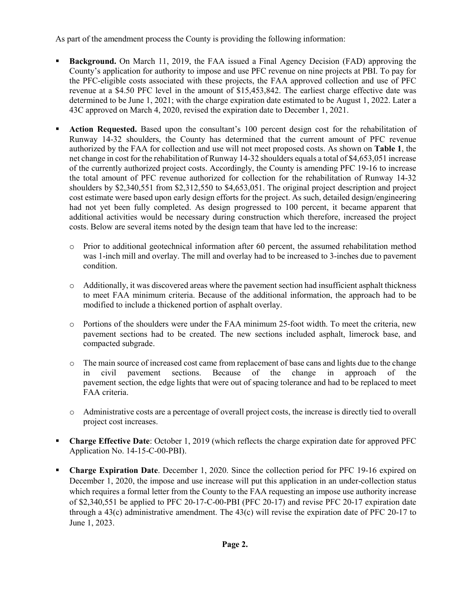As part of the amendment process the County is providing the following information:

- **Background.** On March 11, 2019, the FAA issued a Final Agency Decision (FAD) approving the County's application for authority to impose and use PFC revenue on nine projects at PBI. To pay for the PFC-eligible costs associated with these projects, the FAA approved collection and use of PFC revenue at a \$4.50 PFC level in the amount of \$15,453,842. The earliest charge effective date was determined to be June 1, 2021; with the charge expiration date estimated to be August 1, 2022. Later a 43C approved on March 4, 2020, revised the expiration date to December 1, 2021.
- **Action Requested.** Based upon the consultant's 100 percent design cost for the rehabilitation of Runway 14-32 shoulders, the County has determined that the current amount of PFC revenue authorized by the FAA for collection and use will not meet proposed costs. As shown on **Table 1**, the net change in cost for the rehabilitation of Runway 14-32 shoulders equals a total of \$4,653,051 increase of the currently authorized project costs. Accordingly, the County is amending PFC 19-16 to increase the total amount of PFC revenue authorized for collection for the rehabilitation of Runway 14-32 shoulders by \$2,340,551 from \$2,312,550 to \$4,653,051. The original project description and project cost estimate were based upon early design efforts for the project. As such, detailed design/engineering had not yet been fully completed. As design progressed to 100 percent, it became apparent that additional activities would be necessary during construction which therefore, increased the project costs. Below are several items noted by the design team that have led to the increase:
	- o Prior to additional geotechnical information after 60 percent, the assumed rehabilitation method was 1-inch mill and overlay. The mill and overlay had to be increased to 3-inches due to pavement condition.
	- o Additionally, it was discovered areas where the pavement section had insufficient asphalt thickness to meet FAA minimum criteria. Because of the additional information, the approach had to be modified to include a thickened portion of asphalt overlay.
	- o Portions of the shoulders were under the FAA minimum 25-foot width. To meet the criteria, new pavement sections had to be created. The new sections included asphalt, limerock base, and compacted subgrade.
	- o The main source of increased cost came from replacement of base cans and lights due to the change<br>in civil pavement sections. Because of the change in approach of the in civil pavement sections. Because of the change in pavement section, the edge lights that were out of spacing tolerance and had to be replaced to meet FAA criteria.
	- o Administrative costs are a percentage of overall project costs, the increase is directly tied to overall project cost increases.
- **Charge Effective Date**: October 1, 2019 (which reflects the charge expiration date for approved PFC Application No. 14-15-C-00-PBI).
- **Charge Expiration Date**. December 1, 2020. Since the collection period for PFC 19-16 expired on December 1, 2020, the impose and use increase will put this application in an under-collection status which requires a formal letter from the County to the FAA requesting an impose use authority increase of \$2,340,551 be applied to PFC 20-17-C-00-PBI (PFC 20-17) and revise PFC 20-17 expiration date through a 43(c) administrative amendment. The 43(c) will revise the expiration date of PFC 20-17 to June 1, 2023.